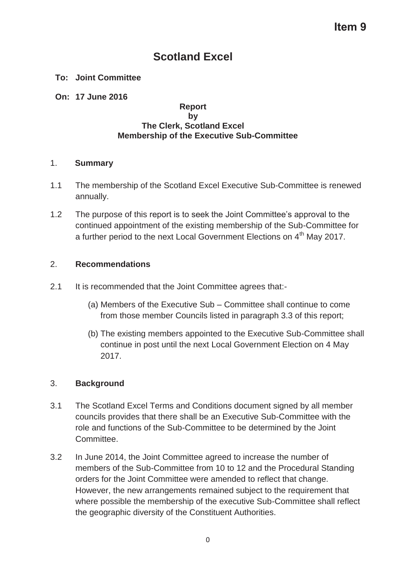# **Scotland Excel**

## **To: Joint Committee**

## **On: 17 June 2016**

#### **Report by The Clerk, Scotland Excel Membership of the Executive Sub-Committee**

### 1. **Summary**

- 1.1 The membership of the Scotland Excel Executive Sub-Committee is renewed annually.
- 1.2 The purpose of this report is to seek the Joint Committee's approval to the continued appointment of the existing membership of the Sub-Committee for a further period to the next Local Government Elections on 4<sup>th</sup> May 2017.

# 2. **Recommendations**

- 2.1 It is recommended that the Joint Committee agrees that:-
	- (a) Members of the Executive Sub Committee shall continue to come from those member Councils listed in paragraph 3.3 of this report;
	- (b) The existing members appointed to the Executive Sub-Committee shall continue in post until the next Local Government Election on 4 May 2017.

# 3. **Background**

- 3.1 The Scotland Excel Terms and Conditions document signed by all member councils provides that there shall be an Executive Sub-Committee with the role and functions of the Sub-Committee to be determined by the Joint Committee.
- 3.2 In June 2014, the Joint Committee agreed to increase the number of members of the Sub-Committee from 10 to 12 and the Procedural Standing orders for the Joint Committee were amended to reflect that change. However, the new arrangements remained subject to the requirement that where possible the membership of the executive Sub-Committee shall reflect the geographic diversity of the Constituent Authorities.